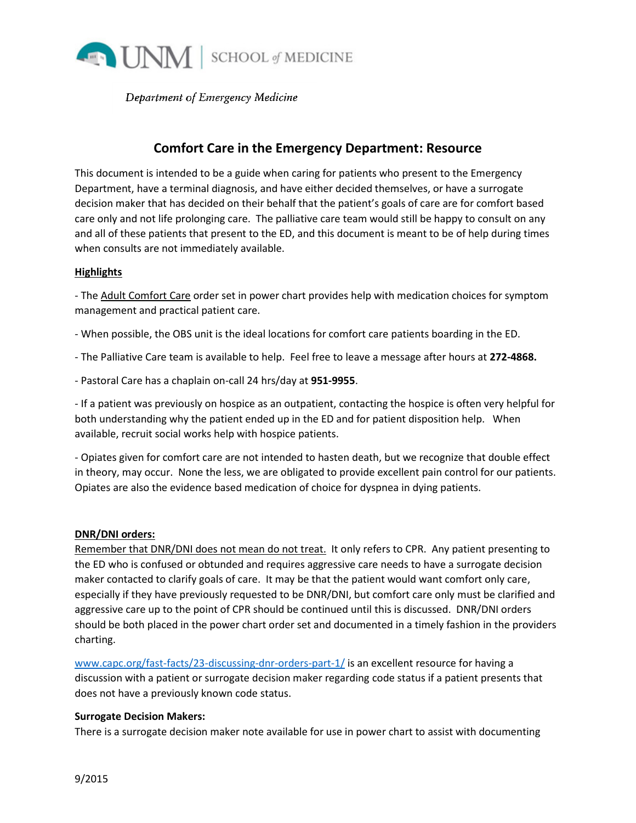

Department of Emergency Medicine

# **Comfort Care in the Emergency Department: Resource**

This document is intended to be a guide when caring for patients who present to the Emergency Department, have a terminal diagnosis, and have either decided themselves, or have a surrogate decision maker that has decided on their behalf that the patient's goals of care are for comfort based care only and not life prolonging care. The palliative care team would still be happy to consult on any and all of these patients that present to the ED, and this document is meant to be of help during times when consults are not immediately available.

### **Highlights**

- The Adult Comfort Care order set in power chart provides help with medication choices for symptom management and practical patient care.

- When possible, the OBS unit is the ideal locations for comfort care patients boarding in the ED.

- The Palliative Care team is available to help. Feel free to leave a message after hours at **272-4868.**

- Pastoral Care has a chaplain on-call 24 hrs/day at **951-9955**.

- If a patient was previously on hospice as an outpatient, contacting the hospice is often very helpful for both understanding why the patient ended up in the ED and for patient disposition help. When available, recruit social works help with hospice patients.

- Opiates given for comfort care are not intended to hasten death, but we recognize that double effect in theory, may occur. None the less, we are obligated to provide excellent pain control for our patients. Opiates are also the evidence based medication of choice for dyspnea in dying patients.

#### **DNR/DNI orders:**

Remember that DNR/DNI does not mean do not treat. It only refers to CPR. Any patient presenting to the ED who is confused or obtunded and requires aggressive care needs to have a surrogate decision maker contacted to clarify goals of care. It may be that the patient would want comfort only care, especially if they have previously requested to be DNR/DNI, but comfort care only must be clarified and aggressive care up to the point of CPR should be continued until this is discussed. DNR/DNI orders should be both placed in the power chart order set and documented in a timely fashion in the providers charting.

[www.capc.org/fast-facts/23-discussing-dnr-orders-part-1/](http://www.capc.org/fast-facts/23-discussing-dnr-orders-part-1/) is an excellent resource for having a discussion with a patient or surrogate decision maker regarding code status if a patient presents that does not have a previously known code status.

#### **Surrogate Decision Makers:**

There is a surrogate decision maker note available for use in power chart to assist with documenting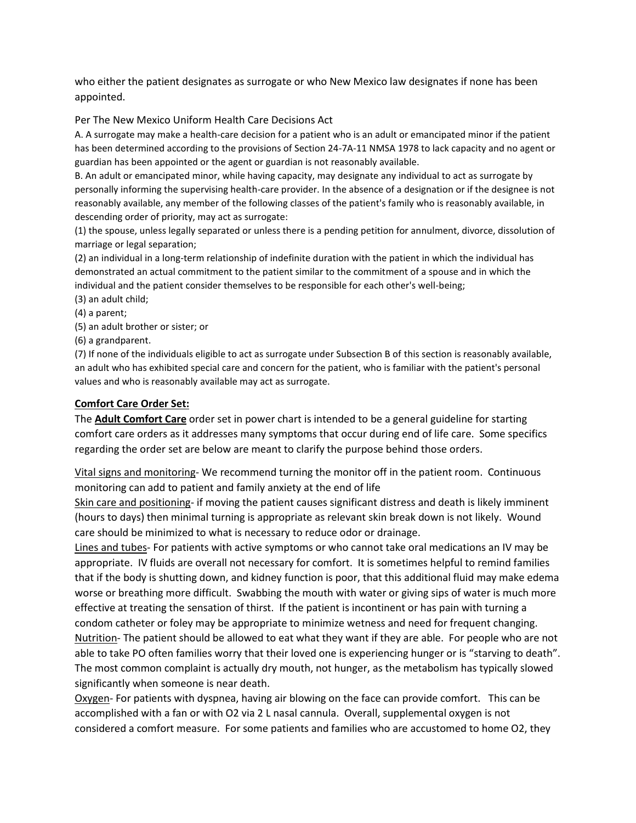who either the patient designates as surrogate or who New Mexico law designates if none has been appointed.

Per The New Mexico Uniform Health Care Decisions Act

A. A surrogate may make a health-care decision for a patient who is an adult or emancipated minor if the patient has been determined according to the provisions of Section 24-7A-11 NMSA 1978 to lack capacity and no agent or guardian has been appointed or the agent or guardian is not reasonably available.

B. An adult or emancipated minor, while having capacity, may designate any individual to act as surrogate by personally informing the supervising health-care provider. In the absence of a designation or if the designee is not reasonably available, any member of the following classes of the patient's family who is reasonably available, in descending order of priority, may act as surrogate:

(1) the spouse, unless legally separated or unless there is a pending petition for annulment, divorce, dissolution of marriage or legal separation;

(2) an individual in a long-term relationship of indefinite duration with the patient in which the individual has demonstrated an actual commitment to the patient similar to the commitment of a spouse and in which the individual and the patient consider themselves to be responsible for each other's well-being;

- (3) an adult child;
- (4) a parent;
- (5) an adult brother or sister; or
- (6) a grandparent.

(7) If none of the individuals eligible to act as surrogate under Subsection B of this section is reasonably available, an adult who has exhibited special care and concern for the patient, who is familiar with the patient's personal values and who is reasonably available may act as surrogate.

#### **Comfort Care Order Set:**

The **Adult Comfort Care** order set in power chart is intended to be a general guideline for starting comfort care orders as it addresses many symptoms that occur during end of life care. Some specifics regarding the order set are below are meant to clarify the purpose behind those orders.

Vital signs and monitoring- We recommend turning the monitor off in the patient room. Continuous monitoring can add to patient and family anxiety at the end of life

Skin care and positioning- if moving the patient causes significant distress and death is likely imminent (hours to days) then minimal turning is appropriate as relevant skin break down is not likely. Wound care should be minimized to what is necessary to reduce odor or drainage.

Lines and tubes- For patients with active symptoms or who cannot take oral medications an IV may be appropriate. IV fluids are overall not necessary for comfort. It is sometimes helpful to remind families that if the body is shutting down, and kidney function is poor, that this additional fluid may make edema worse or breathing more difficult. Swabbing the mouth with water or giving sips of water is much more effective at treating the sensation of thirst. If the patient is incontinent or has pain with turning a condom catheter or foley may be appropriate to minimize wetness and need for frequent changing. Nutrition- The patient should be allowed to eat what they want if they are able. For people who are not able to take PO often families worry that their loved one is experiencing hunger or is "starving to death". The most common complaint is actually dry mouth, not hunger, as the metabolism has typically slowed significantly when someone is near death.

Oxygen- For patients with dyspnea, having air blowing on the face can provide comfort. This can be accomplished with a fan or with O2 via 2 L nasal cannula. Overall, supplemental oxygen is not considered a comfort measure. For some patients and families who are accustomed to home O2, they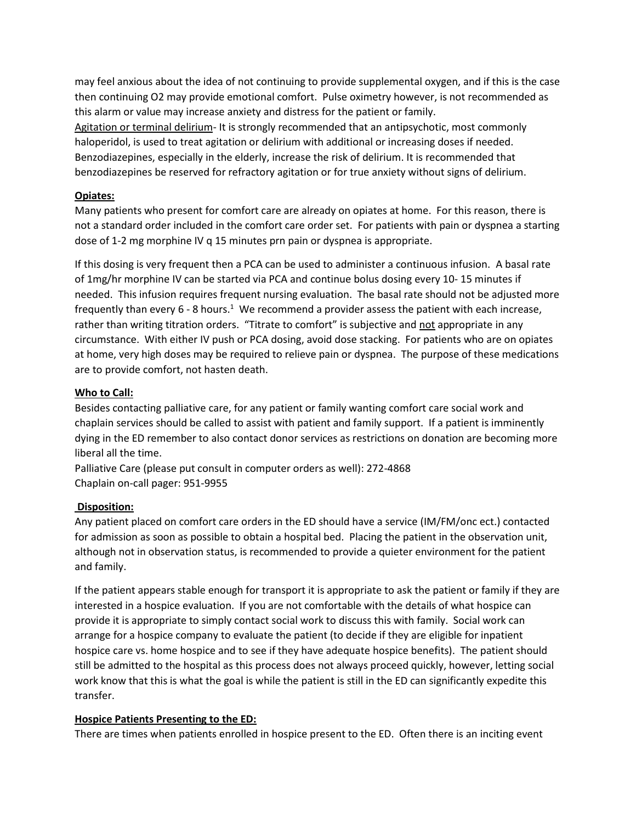may feel anxious about the idea of not continuing to provide supplemental oxygen, and if this is the case then continuing O2 may provide emotional comfort. Pulse oximetry however, is not recommended as this alarm or value may increase anxiety and distress for the patient or family.

Agitation or terminal delirium- It is strongly recommended that an antipsychotic, most commonly haloperidol, is used to treat agitation or delirium with additional or increasing doses if needed. Benzodiazepines, especially in the elderly, increase the risk of delirium. It is recommended that benzodiazepines be reserved for refractory agitation or for true anxiety without signs of delirium.

# **Opiates:**

Many patients who present for comfort care are already on opiates at home. For this reason, there is not a standard order included in the comfort care order set. For patients with pain or dyspnea a starting dose of 1-2 mg morphine IV q 15 minutes prn pain or dyspnea is appropriate.

If this dosing is very frequent then a PCA can be used to administer a continuous infusion. A basal rate of 1mg/hr morphine IV can be started via PCA and continue bolus dosing every 10- 15 minutes if needed. This infusion requires frequent nursing evaluation. The basal rate should not be adjusted more frequently than every 6 - 8 hours.<sup>1</sup> We recommend a provider assess the patient with each increase, rather than writing titration orders. "Titrate to comfort" is subjective and not appropriate in any circumstance. With either IV push or PCA dosing, avoid dose stacking. For patients who are on opiates at home, very high doses may be required to relieve pain or dyspnea. The purpose of these medications are to provide comfort, not hasten death.

# **Who to Call:**

Besides contacting palliative care, for any patient or family wanting comfort care social work and chaplain services should be called to assist with patient and family support. If a patient is imminently dying in the ED remember to also contact donor services as restrictions on donation are becoming more liberal all the time.

Palliative Care (please put consult in computer orders as well): 272-4868 Chaplain on-call pager: 951-9955

### **Disposition:**

Any patient placed on comfort care orders in the ED should have a service (IM/FM/onc ect.) contacted for admission as soon as possible to obtain a hospital bed. Placing the patient in the observation unit, although not in observation status, is recommended to provide a quieter environment for the patient and family.

If the patient appears stable enough for transport it is appropriate to ask the patient or family if they are interested in a hospice evaluation. If you are not comfortable with the details of what hospice can provide it is appropriate to simply contact social work to discuss this with family. Social work can arrange for a hospice company to evaluate the patient (to decide if they are eligible for inpatient hospice care vs. home hospice and to see if they have adequate hospice benefits). The patient should still be admitted to the hospital as this process does not always proceed quickly, however, letting social work know that this is what the goal is while the patient is still in the ED can significantly expedite this transfer.

### **Hospice Patients Presenting to the ED:**

There are times when patients enrolled in hospice present to the ED. Often there is an inciting event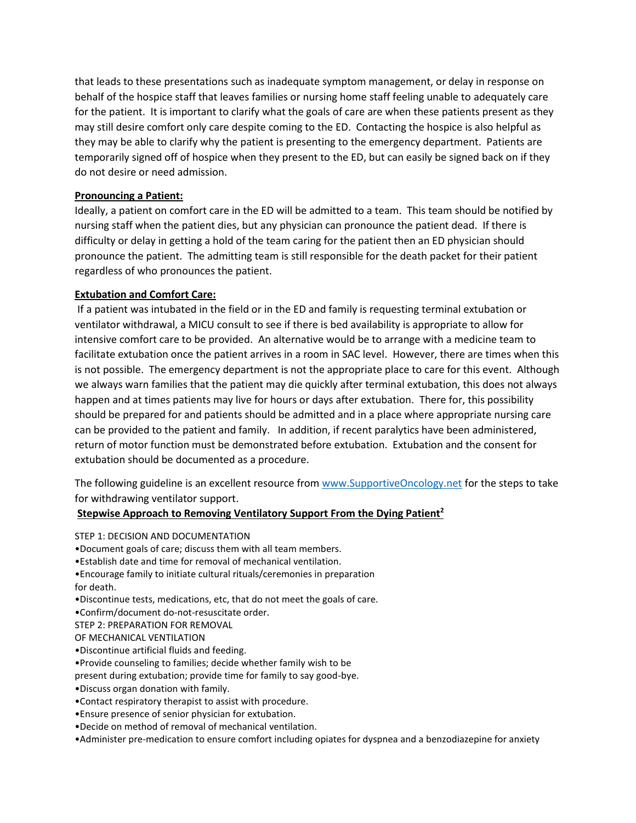that leads to these presentations such as inadequate symptom management, or delay in response on behalf of the hospice staff that leaves families or nursing home staff feeling unable to adequately care for the patient. It is important to clarify what the goals of care are when these patients present as they may still desire comfort only care despite coming to the ED. Contacting the hospice is also helpful as they may be able to clarify why the patient is presenting to the emergency department. Patients are temporarily signed off of hospice when they present to the ED, but can easily be signed back on if they do not desire or need admission.

## **Pronouncing a Patient:**

Ideally, a patient on comfort care in the ED will be admitted to a team. This team should be notified by nursing staff when the patient dies, but any physician can pronounce the patient dead. If there is difficulty or delay in getting a hold of the team caring for the patient then an ED physician should pronounce the patient. The admitting team is still responsible for the death packet for their patient regardless of who pronounces the patient.

# **Extubation and Comfort Care:**

If a patient was intubated in the field or in the ED and family is requesting terminal extubation or ventilator withdrawal, a MICU consult to see if there is bed availability is appropriate to allow for intensive comfort care to be provided. An alternative would be to arrange with a medicine team to facilitate extubation once the patient arrives in a room in SAC level. However, there are times when this is not possible. The emergency department is not the appropriate place to care for this event. Although we always warn families that the patient may die quickly after terminal extubation, this does not always happen and at times patients may live for hours or days after extubation. There for, this possibility should be prepared for and patients should be admitted and in a place where appropriate nursing care can be provided to the patient and family. In addition, if recent paralytics have been administered, return of motor function must be demonstrated before extubation. Extubation and the consent for extubation should be documented as a procedure.

The following guideline is an excellent resource from [www.SupportiveOncology.net](http://www.supportiveoncology.net/) for the steps to take for withdrawing ventilator support.

### **Stepwise Approach to Removing Ventilatory Support From the Dying Patient<sup>2</sup>**

STEP 1: DECISION AND DOCUMENTATION

- •Document goals of care; discuss them with all team members.
- •Establish date and time for removal of mechanical ventilation.
- •Encourage family to initiate cultural rituals/ceremonies in preparation for death.
- •Discontinue tests, medications, etc, that do not meet the goals of care.
- •Confirm/document do-not-resuscitate order.
- STEP 2: PREPARATION FOR REMOVAL
- OF MECHANICAL VENTILATION
- •Discontinue artificial fluids and feeding.
- •Provide counseling to families; decide whether family wish to be
- present during extubation; provide time for family to say good-bye.
- •Discuss organ donation with family.
- •Contact respiratory therapist to assist with procedure.
- •Ensure presence of senior physician for extubation.
- •Decide on method of removal of mechanical ventilation.
- •Administer pre-medication to ensure comfort including opiates for dyspnea and a benzodiazepine for anxiety